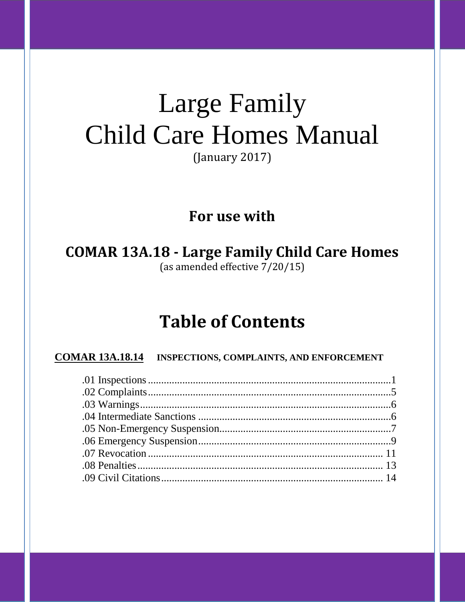# **Large Family Child Care Homes Manual**

(January 2017)

# For use with

**COMAR 13A.18 - Large Family Child Care Homes** (as amended effective 7/20/15)

# **Table of Contents**

**COMAR 13A.18.14 INSPECTIONS, COMPLAINTS, AND ENFORCEMENT**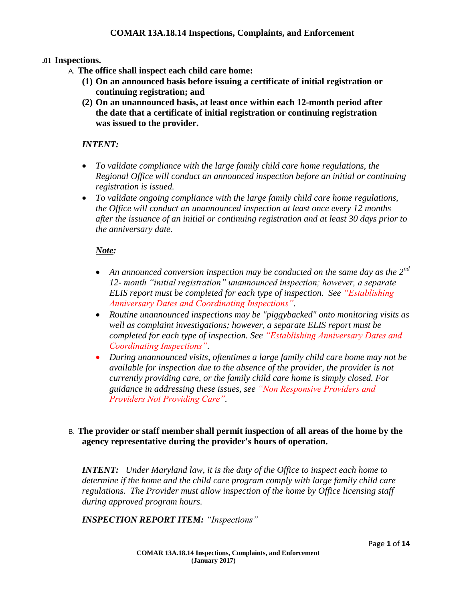#### **.01 Inspections.**

- A. **The office shall inspect each child care home:**
	- **(1) On an announced basis before issuing a certificate of initial registration or continuing registration; and**
	- **(2) On an unannounced basis, at least once within each 12-month period after the date that a certificate of initial registration or continuing registration was issued to the provider.**

#### *INTENT:*

- *To validate compliance with the large family child care home regulations, the Regional Office will conduct an announced inspection before an initial or continuing registration is issued.*
- *To validate ongoing compliance with the large family child care home regulations, the Office will conduct an unannounced inspection at least once every 12 months after the issuance of an initial or continuing registration and at least 30 days prior to the anniversary date.*

#### *Note:*

- *An announced conversion inspection may be conducted on the same day as the 2nd 12- month "initial registration" unannounced inspection; however, a separate ELIS report must be completed for each type of inspection. See "Establishing Anniversary Dates and Coordinating Inspections".*
- *Routine unannounced inspections may be "piggybacked" onto monitoring visits as well as complaint investigations; however, a separate ELIS report must be completed for each type of inspection. See "Establishing Anniversary Dates and Coordinating Inspections".*
- *During unannounced visits, oftentimes a large family child care home may not be available for inspection due to the absence of the provider, the provider is not currently providing care, or the family child care home is simply closed. For guidance in addressing these issues, see "Non Responsive Providers and Providers Not Providing Care".*

# B. **The provider or staff member shall permit inspection of all areas of the home by the agency representative during the provider's hours of operation.**

*INTENT: Under Maryland law, it is the duty of the Office to inspect each home to determine if the home and the child care program comply with large family child care regulations. The Provider must allow inspection of the home by Office licensing staff during approved program hours.*

*INSPECTION REPORT ITEM: "Inspections"*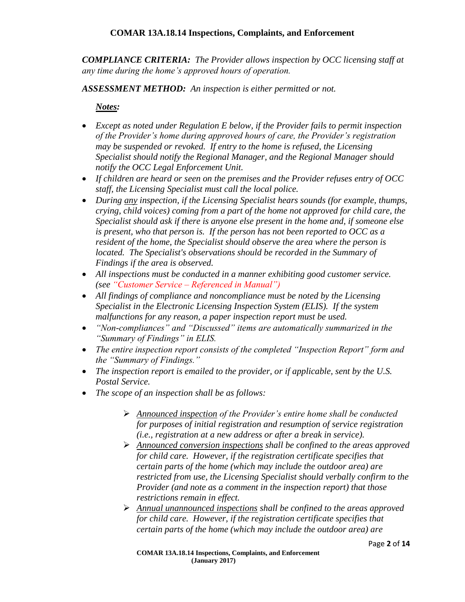*COMPLIANCE CRITERIA: The Provider allows inspection by OCC licensing staff at any time during the home's approved hours of operation.*

*ASSESSMENT METHOD: An inspection is either permitted or not.*

#### *Notes:*

- *Except as noted under Regulation E below, if the Provider fails to permit inspection of the Provider's home during approved hours of care, the Provider's registration may be suspended or revoked. If entry to the home is refused, the Licensing Specialist should notify the Regional Manager, and the Regional Manager should notify the OCC Legal Enforcement Unit.*
- *If children are heard or seen on the premises and the Provider refuses entry of OCC staff, the Licensing Specialist must call the local police.*
- *During any inspection, if the Licensing Specialist hears sounds (for example, thumps, crying, child voices) coming from a part of the home not approved for child care, the Specialist should ask if there is anyone else present in the home and, if someone else is present, who that person is. If the person has not been reported to OCC as a resident of the home, the Specialist should observe the area where the person is located. The Specialist's observations should be recorded in the Summary of Findings if the area is observed.*
- *All inspections must be conducted in a manner exhibiting good customer service. (see "Customer Service – Referenced in Manual")*
- *All findings of compliance and noncompliance must be noted by the Licensing Specialist in the Electronic Licensing Inspection System (ELIS). If the system malfunctions for any reason, a paper inspection report must be used.*
- *"Non-compliances" and "Discussed" items are automatically summarized in the "Summary of Findings" in ELIS.*
- *The entire inspection report consists of the completed "Inspection Report" form and the "Summary of Findings."*
- The inspection report is emailed to the provider, or if applicable, sent by the U.S. *Postal Service.*
- *The scope of an inspection shall be as follows:*
	- *Announced inspection of the Provider's entire home shall be conducted for purposes of initial registration and resumption of service registration (i.e., registration at a new address or after a break in service).*
	- *Announced conversion inspections shall be confined to the areas approved for child care. However, if the registration certificate specifies that certain parts of the home (which may include the outdoor area) are restricted from use, the Licensing Specialist should verbally confirm to the Provider (and note as a comment in the inspection report) that those restrictions remain in effect.*
	- *Annual unannounced inspections shall be confined to the areas approved for child care. However, if the registration certificate specifies that certain parts of the home (which may include the outdoor area) are*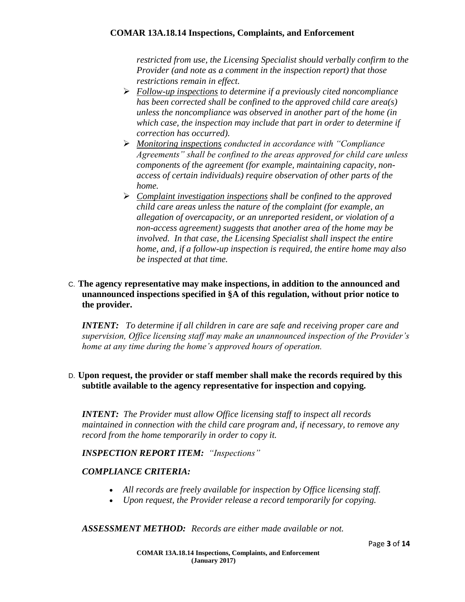*restricted from use, the Licensing Specialist should verbally confirm to the Provider (and note as a comment in the inspection report) that those restrictions remain in effect.*

- *Follow-up inspections to determine if a previously cited noncompliance has been corrected shall be confined to the approved child care area(s) unless the noncompliance was observed in another part of the home (in which case, the inspection may include that part in order to determine if correction has occurred).*
- *Monitoring inspections conducted in accordance with "Compliance Agreements" shall be confined to the areas approved for child care unless components of the agreement (for example, maintaining capacity, nonaccess of certain individuals) require observation of other parts of the home.*
- *Complaint investigation inspections shall be confined to the approved child care areas unless the nature of the complaint (for example, an allegation of overcapacity, or an unreported resident, or violation of a non-access agreement) suggests that another area of the home may be involved. In that case, the Licensing Specialist shall inspect the entire home, and, if a follow-up inspection is required, the entire home may also be inspected at that time.*

# C. **The agency representative may make inspections, in addition to the announced and unannounced inspections specified in §A of this regulation, without prior notice to the provider.**

*INTENT: To determine if all children in care are safe and receiving proper care and supervision, Office licensing staff may make an unannounced inspection of the Provider's home at any time during the home's approved hours of operation.*

# D. **Upon request, the provider or staff member shall make the records required by this subtitle available to the agency representative for inspection and copying.**

*INTENT: The Provider must allow Office licensing staff to inspect all records maintained in connection with the child care program and, if necessary, to remove any record from the home temporarily in order to copy it.*

# *INSPECTION REPORT ITEM: "Inspections"*

# *COMPLIANCE CRITERIA:*

- *All records are freely available for inspection by Office licensing staff.*
- *Upon request, the Provider release a record temporarily for copying.*

# *ASSESSMENT METHOD: Records are either made available or not.*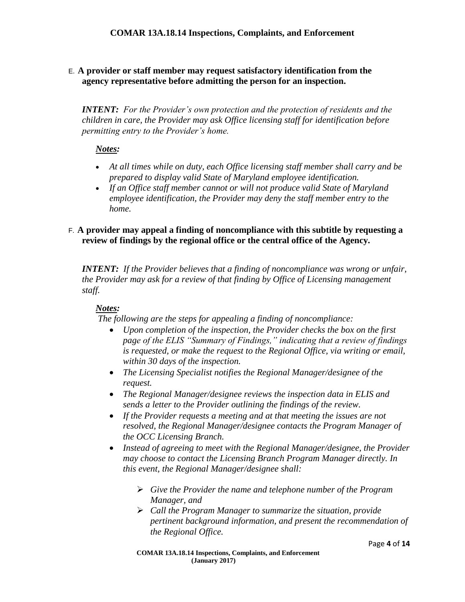# E. **A provider or staff member may request satisfactory identification from the agency representative before admitting the person for an inspection.**

*INTENT: For the Provider's own protection and the protection of residents and the children in care, the Provider may ask Office licensing staff for identification before permitting entry to the Provider's home.*

#### *Notes:*

- *At all times while on duty, each Office licensing staff member shall carry and be prepared to display valid State of Maryland employee identification.*
- *If an Office staff member cannot or will not produce valid State of Maryland employee identification, the Provider may deny the staff member entry to the home.*

#### F. **A provider may appeal a finding of noncompliance with this subtitle by requesting a review of findings by the regional office or the central office of the Agency.**

*INTENT: If the Provider believes that a finding of noncompliance was wrong or unfair, the Provider may ask for a review of that finding by Office of Licensing management staff.*

# *Notes:*

*The following are the steps for appealing a finding of noncompliance:*

- *Upon completion of the inspection, the Provider checks the box on the first page of the ELIS "Summary of Findings," indicating that a review of findings is requested, or make the request to the Regional Office, via writing or email, within 30 days of the inspection.*
- *The Licensing Specialist notifies the Regional Manager/designee of the request.*
- *The Regional Manager/designee reviews the inspection data in ELIS and sends a letter to the Provider outlining the findings of the review.*
- *If the Provider requests a meeting and at that meeting the issues are not resolved, the Regional Manager/designee contacts the Program Manager of the OCC Licensing Branch.*
- *Instead of agreeing to meet with the Regional Manager/designee, the Provider may choose to contact the Licensing Branch Program Manager directly. In this event, the Regional Manager/designee shall:*
	- *Give the Provider the name and telephone number of the Program Manager, and*
	- *Call the Program Manager to summarize the situation, provide pertinent background information, and present the recommendation of the Regional Office.*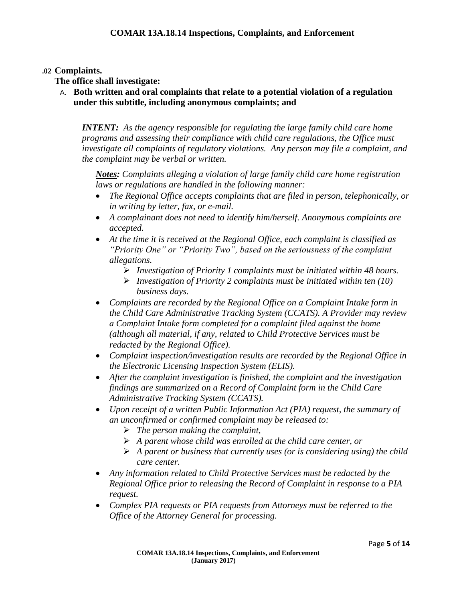#### **.02 Complaints.**

**The office shall investigate:**

A. **Both written and oral complaints that relate to a potential violation of a regulation under this subtitle, including anonymous complaints; and**

*INTENT: As the agency responsible for regulating the large family child care home programs and assessing their compliance with child care regulations, the Office must investigate all complaints of regulatory violations. Any person may file a complaint, and the complaint may be verbal or written.*

*Notes: Complaints alleging a violation of large family child care home registration laws or regulations are handled in the following manner:*

- *The Regional Office accepts complaints that are filed in person, telephonically, or in writing by letter, fax, or e-mail.*
- *A complainant does not need to identify him/herself. Anonymous complaints are accepted.*
- *At the time it is received at the Regional Office, each complaint is classified as "Priority One" or "Priority Two", based on the seriousness of the complaint allegations.*
	- *Investigation of Priority 1 complaints must be initiated within 48 hours.*
	- *Investigation of Priority 2 complaints must be initiated within ten (10) business days.*
- *Complaints are recorded by the Regional Office on a Complaint Intake form in the Child Care Administrative Tracking System (CCATS). A Provider may review a Complaint Intake form completed for a complaint filed against the home (although all material, if any, related to Child Protective Services must be redacted by the Regional Office).*
- *Complaint inspection/investigation results are recorded by the Regional Office in the Electronic Licensing Inspection System (ELIS).*
- *After the complaint investigation is finished, the complaint and the investigation findings are summarized on a Record of Complaint form in the Child Care Administrative Tracking System (CCATS).*
- Upon receipt of a written Public Information Act (PIA) request, the summary of *an unconfirmed or confirmed complaint may be released to:*
	- *The person making the complaint,*
	- *A parent whose child was enrolled at the child care center, or*
	- *A parent or business that currently uses (or is considering using) the child care center.*
- *Any information related to Child Protective Services must be redacted by the Regional Office prior to releasing the Record of Complaint in response to a PIA request.*
- *Complex PIA requests or PIA requests from Attorneys must be referred to the Office of the Attorney General for processing.*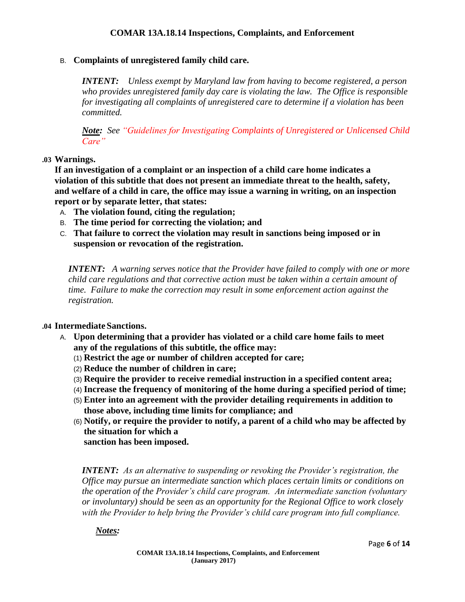#### B. **Complaints of unregistered family child care.**

*INTENT: Unless exempt by Maryland law from having to become registered, a person who provides unregistered family day care is violating the law. The Office is responsible for investigating all complaints of unregistered care to determine if a violation has been committed.*

*Note: See "Guidelines for Investigating Complaints of Unregistered or Unlicensed Child Care"*

#### **.03 Warnings.**

**If an investigation of a complaint or an inspection of a child care home indicates a violation of this subtitle that does not present an immediate threat to the health, safety, and welfare of a child in care, the office may issue a warning in writing, on an inspection report or by separate letter, that states:**

- A. **The violation found, citing the regulation;**
- B. **The time period for correcting the violation; and**
- C. **That failure to correct the violation may result in sanctions being imposed or in suspension or revocation of the registration.**

*INTENT: A warning serves notice that the Provider have failed to comply with one or more child care regulations and that corrective action must be taken within a certain amount of time. Failure to make the correction may result in some enforcement action against the registration.*

#### **.04 Intermediate Sanctions.**

- A. **Upon determining that a provider has violated or a child care home fails to meet any of the regulations of this subtitle, the office may:**
	- (1) **Restrict the age or number of children accepted for care;**
	- (2) **Reduce the number of children in care;**
	- (3) **Require the provider to receive remedial instruction in a specified content area;**
	- (4) **Increase the frequency of monitoring of the home during a specified period of time;**
	- (5) **Enter into an agreement with the provider detailing requirements in addition to those above, including time limits for compliance; and**
	- (6) **Notify, or require the provider to notify, a parent of a child who may be affected by the situation for which a**

**sanction has been imposed.**

*INTENT: As an alternative to suspending or revoking the Provider's registration, the Office may pursue an intermediate sanction which places certain limits or conditions on the operation of the Provider's child care program. An intermediate sanction (voluntary or involuntary) should be seen as an opportunity for the Regional Office to work closely with the Provider to help bring the Provider's child care program into full compliance.*

#### *Notes:*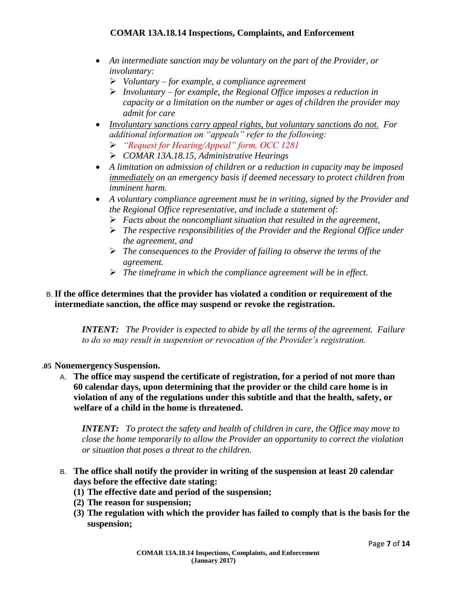- *An intermediate sanction may be voluntary on the part of the Provider, or involuntary:*
	- *Voluntary – for example, a compliance agreement*
	- *Involuntary – for example, the Regional Office imposes a reduction in capacity or a limitation on the number or ages of children the provider may admit for care*
- *Involuntary sanctions carry appeal rights, but voluntary sanctions do not. For additional information on "appeals" refer to the following:*
	- *"Request for Hearing/Appeal" form, OCC 1281*
	- *COMAR 13A.18.15, Administrative Hearings*
- *A limitation on admission of children or a reduction in capacity may be imposed immediately on an emergency basis if deemed necessary to protect children from imminent harm.*
- *A voluntary compliance agreement must be in writing, signed by the Provider and the Regional Office representative, and include a statement of:*
	- *Facts about the noncompliant situation that resulted in the agreement,*
	- *The respective responsibilities of the Provider and the Regional Office under the agreement, and*
	- *The consequences to the Provider of failing to observe the terms of the agreement.*
	- *The timeframe in which the compliance agreement will be in effect.*

# B. **If the office determines that the provider has violated a condition or requirement of the intermediate sanction, the office may suspend or revoke the registration.**

*INTENT: The Provider is expected to abide by all the terms of the agreement. Failure to do so may result in suspension or revocation of the Provider's registration.*

#### **.05 Nonemergency Suspension.**

A. **The office may suspend the certificate of registration, for a period of not more than 60 calendar days, upon determining that the provider or the child care home is in violation of any of the regulations under this subtitle and that the health, safety, or welfare of a child in the home is threatened.**

*INTENT: To protect the safety and health of children in care, the Office may move to close the home temporarily to allow the Provider an opportunity to correct the violation or situation that poses a threat to the children.* 

- B. **The office shall notify the provider in writing of the suspension at least 20 calendar days before the effective date stating:**
	- **(1) The effective date and period of the suspension;**
	- **(2) The reason for suspension;**
	- **(3) The regulation with which the provider has failed to comply that is the basis for the suspension;**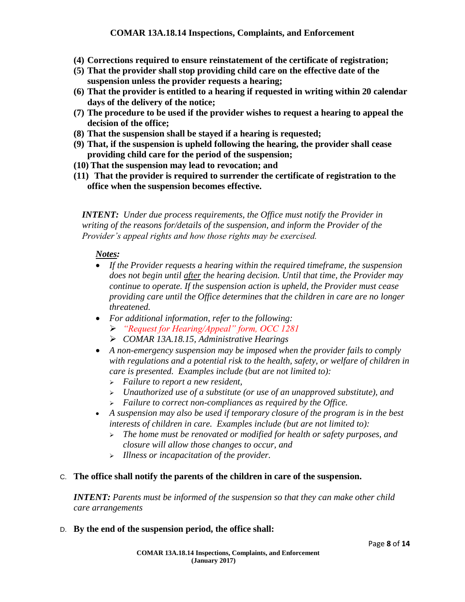- **(4) Corrections required to ensure reinstatement of the certificate of registration;**
- **(5) That the provider shall stop providing child care on the effective date of the suspension unless the provider requests a hearing;**
- **(6) That the provider is entitled to a hearing if requested in writing within 20 calendar days of the delivery of the notice;**
- **(7) The procedure to be used if the provider wishes to request a hearing to appeal the decision of the office;**
- **(8) That the suspension shall be stayed if a hearing is requested;**
- **(9) That, if the suspension is upheld following the hearing, the provider shall cease providing child care for the period of the suspension;**
- **(10) That the suspension may lead to revocation; and**
- **(11) That the provider is required to surrender the certificate of registration to the office when the suspension becomes effective.**

*INTENT: Under due process requirements, the Office must notify the Provider in writing of the reasons for/details of the suspension, and inform the Provider of the Provider's appeal rights and how those rights may be exercised.* 

# *Notes:*

- *If the Provider requests a hearing within the required timeframe, the suspension does not begin until after the hearing decision. Until that time, the Provider may continue to operate. If the suspension action is upheld, the Provider must cease providing care until the Office determines that the children in care are no longer threatened.*
- *For additional information, refer to the following:*
	- *"Request for Hearing/Appeal" form, OCC 1281*
	- *COMAR 13A.18.15, Administrative Hearings*
- *A non-emergency suspension may be imposed when the provider fails to comply with regulations and a potential risk to the health, safety, or welfare of children in care is presented. Examples include (but are not limited to):*
	- *Failure to report a new resident,*
	- *Unauthorized use of a substitute (or use of an unapproved substitute), and*
	- *Failure to correct non-compliances as required by the Office.*
- *A suspension may also be used if temporary closure of the program is in the best interests of children in care. Examples include (but are not limited to):*
	- *The home must be renovated or modified for health or safety purposes, and closure will allow those changes to occur, and*
	- *Illness or incapacitation of the provider.*

#### C. **The office shall notify the parents of the children in care of the suspension.**

*INTENT: Parents must be informed of the suspension so that they can make other child care arrangements*

D. **By the end of the suspension period, the office shall:**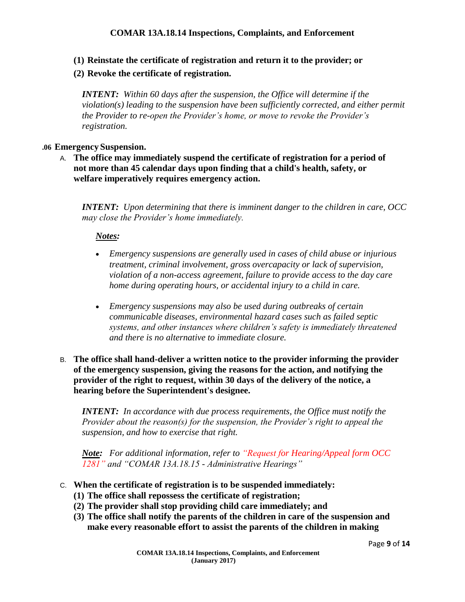- **(1) Reinstate the certificate of registration and return it to the provider; or**
- **(2) Revoke the certificate of registration.**

*INTENT: Within 60 days after the suspension, the Office will determine if the violation(s) leading to the suspension have been sufficiently corrected, and either permit the Provider to re-open the Provider's home, or move to revoke the Provider's registration.*

#### **.06 Emergency Suspension.**

A. **The office may immediately suspend the certificate of registration for a period of not more than 45 calendar days upon finding that a child's health, safety, or welfare imperatively requires emergency action.**

*INTENT: Upon determining that there is imminent danger to the children in care, OCC may close the Provider's home immediately.*

#### *Notes:*

- *Emergency suspensions are generally used in cases of child abuse or injurious treatment, criminal involvement, gross overcapacity or lack of supervision, violation of a non-access agreement, failure to provide access to the day care home during operating hours, or accidental injury to a child in care.*
- *Emergency suspensions may also be used during outbreaks of certain communicable diseases, environmental hazard cases such as failed septic systems, and other instances where children's safety is immediately threatened and there is no alternative to immediate closure.*
- B. **The office shall hand-deliver a written notice to the provider informing the provider of the emergency suspension, giving the reasons for the action, and notifying the provider of the right to request, within 30 days of the delivery of the notice, a hearing before the Superintendent's designee.**

*INTENT: In accordance with due process requirements, the Office must notify the Provider about the reason(s) for the suspension, the Provider's right to appeal the suspension, and how to exercise that right.*

*Note: For additional information, refer to "Request for Hearing/Appeal form OCC 1281" and "COMAR 13A.18.15 - Administrative Hearings"* 

- C. **When the certificate of registration is to be suspended immediately:**
	- **(1) The office shall repossess the certificate of registration;**
	- **(2) The provider shall stop providing child care immediately; and**
	- **(3) The office shall notify the parents of the children in care of the suspension and make every reasonable effort to assist the parents of the children in making**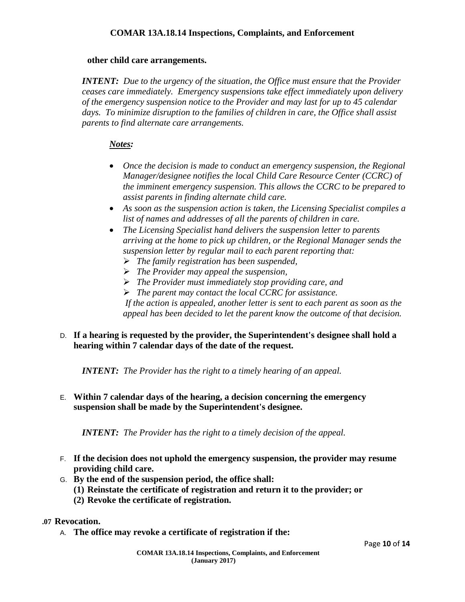#### **other child care arrangements.**

*INTENT: Due to the urgency of the situation, the Office must ensure that the Provider ceases care immediately. Emergency suspensions take effect immediately upon delivery of the emergency suspension notice to the Provider and may last for up to 45 calendar days. To minimize disruption to the families of children in care, the Office shall assist parents to find alternate care arrangements.* 

#### *Notes:*

- *Once the decision is made to conduct an emergency suspension, the Regional Manager/designee notifies the local Child Care Resource Center (CCRC) of the imminent emergency suspension. This allows the CCRC to be prepared to assist parents in finding alternate child care.*
- *As soon as the suspension action is taken, the Licensing Specialist compiles a list of names and addresses of all the parents of children in care.*
- *The Licensing Specialist hand delivers the suspension letter to parents arriving at the home to pick up children, or the Regional Manager sends the suspension letter by regular mail to each parent reporting that:*
	- *The family registration has been suspended,*
	- *The Provider may appeal the suspension,*
	- *The Provider must immediately stop providing care, and*
	- *The parent may contact the local CCRC for assistance.*

*If the action is appealed, another letter is sent to each parent as soon as the appeal has been decided to let the parent know the outcome of that decision.*

#### D. **If a hearing is requested by the provider, the Superintendent's designee shall hold a hearing within 7 calendar days of the date of the request.**

*INTENT: The Provider has the right to a timely hearing of an appeal.*

E. **Within 7 calendar days of the hearing, a decision concerning the emergency suspension shall be made by the Superintendent's designee.**

*INTENT: The Provider has the right to a timely decision of the appeal.*

- F. **If the decision does not uphold the emergency suspension, the provider may resume providing child care.**
- G. **By the end of the suspension period, the office shall:**
	- **(1) Reinstate the certificate of registration and return it to the provider; or**
	- **(2) Revoke the certificate of registration.**

#### **.07 Revocation.**

A. **The office may revoke a certificate of registration if the:**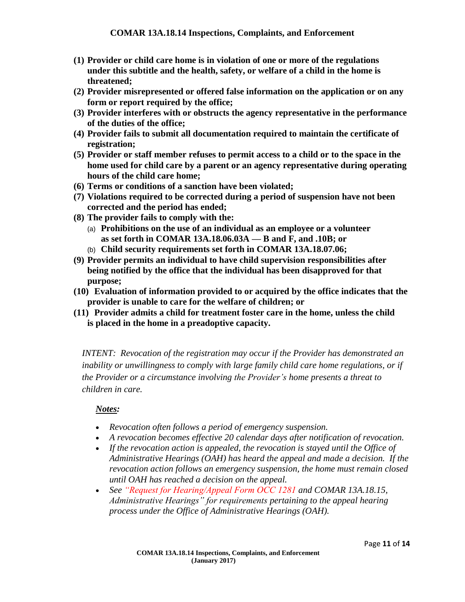- **(1) Provider or child care home is in violation of one or more of the regulations under this subtitle and the health, safety, or welfare of a child in the home is threatened;**
- **(2) Provider misrepresented or offered false information on the application or on any form or report required by the office;**
- **(3) Provider interferes with or obstructs the agency representative in the performance of the duties of the office;**
- **(4) Provider fails to submit all documentation required to maintain the certificate of registration;**
- **(5) Provider or staff member refuses to permit access to a child or to the space in the home used for child care by a parent or an agency representative during operating hours of the child care home;**
- **(6) Terms or conditions of a sanction have been violated;**
- **(7) Violations required to be corrected during a period of suspension have not been corrected and the period has ended;**
- **(8) The provider fails to comply with the:**
	- (a) **Prohibitions on the use of an individual as an employee or a volunteer as set forth in COMAR 13A.18.06.03A — B and F, and .10B; or**
	- (b) **Child security requirements set forth in COMAR 13A.18.07.06;**
- **(9) Provider permits an individual to have child supervision responsibilities after being notified by the office that the individual has been disapproved for that purpose;**
- **(10) Evaluation of information provided to or acquired by the office indicates that the provider is unable to care for the welfare of children; or**
- **(11) Provider admits a child for treatment foster care in the home, unless the child is placed in the home in a preadoptive capacity.**

*INTENT: Revocation of the registration may occur if the Provider has demonstrated an inability or unwillingness to comply with large family child care home regulations, or if the Provider or a circumstance involving the Provider's home presents a threat to children in care.* 

# *Notes:*

- *Revocation often follows a period of emergency suspension.*
- *A revocation becomes effective 20 calendar days after notification of revocation.*
- If the revocation action is appealed, the revocation is stayed until the Office of *Administrative Hearings (OAH) has heard the appeal and made a decision. If the revocation action follows an emergency suspension, the home must remain closed until OAH has reached a decision on the appeal.*
- *See "Request for Hearing/Appeal Form OCC 1281 and COMAR 13A.18.15, Administrative Hearings" for requirements pertaining to the appeal hearing process under the Office of Administrative Hearings (OAH).*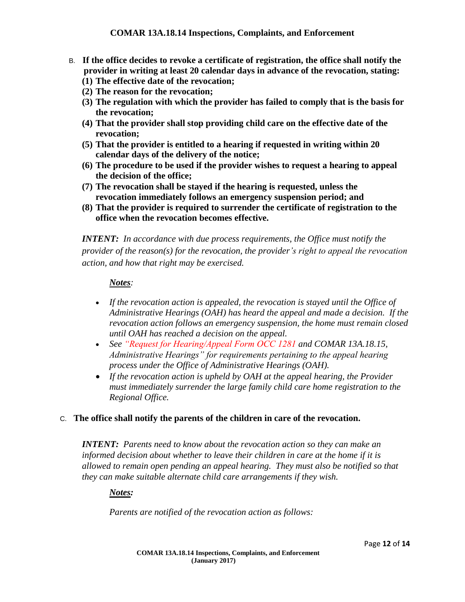- B. **If the office decides to revoke a certificate of registration, the office shall notify the provider in writing at least 20 calendar days in advance of the revocation, stating:**
	- **(1) The effective date of the revocation;**
	- **(2) The reason for the revocation;**
	- **(3) The regulation with which the provider has failed to comply that is the basis for the revocation;**
	- **(4) That the provider shall stop providing child care on the effective date of the revocation;**
	- **(5) That the provider is entitled to a hearing if requested in writing within 20 calendar days of the delivery of the notice;**
	- **(6) The procedure to be used if the provider wishes to request a hearing to appeal the decision of the office;**
	- **(7) The revocation shall be stayed if the hearing is requested, unless the revocation immediately follows an emergency suspension period; and**
	- **(8) That the provider is required to surrender the certificate of registration to the office when the revocation becomes effective.**

*INTENT: In accordance with due process requirements, the Office must notify the provider of the reason(s) for the revocation, the provider's right to appeal the revocation action, and how that right may be exercised.*

#### *Notes:*

- *If the revocation action is appealed, the revocation is stayed until the Office of Administrative Hearings (OAH) has heard the appeal and made a decision. If the revocation action follows an emergency suspension, the home must remain closed until OAH has reached a decision on the appeal.*
- *See "Request for Hearing/Appeal Form OCC 1281 and COMAR 13A.18.15, Administrative Hearings" for requirements pertaining to the appeal hearing process under the Office of Administrative Hearings (OAH).*
- *If the revocation action is upheld by OAH at the appeal hearing, the Provider must immediately surrender the large family child care home registration to the Regional Office.*

# C. **The office shall notify the parents of the children in care of the revocation.**

*INTENT: Parents need to know about the revocation action so they can make an informed decision about whether to leave their children in care at the home if it is allowed to remain open pending an appeal hearing. They must also be notified so that they can make suitable alternate child care arrangements if they wish.* 

# *Notes:*

*Parents are notified of the revocation action as follows:*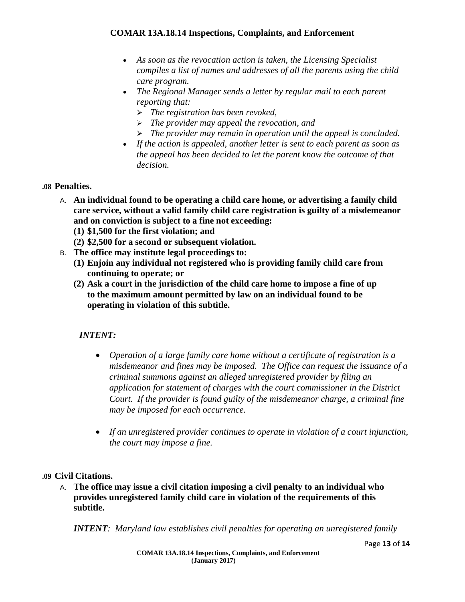- *As soon as the revocation action is taken, the Licensing Specialist compiles a list of names and addresses of all the parents using the child care program.*
- *The Regional Manager sends a letter by regular mail to each parent reporting that:*
	- *The registration has been revoked,*
	- *The provider may appeal the revocation, and*
	- *The provider may remain in operation until the appeal is concluded.*
- *If the action is appealed, another letter is sent to each parent as soon as the appeal has been decided to let the parent know the outcome of that decision.*

#### **.08 Penalties.**

- A. **An individual found to be operating a child care home, or advertising a family child care service, without a valid family child care registration is guilty of a misdemeanor and on conviction is subject to a fine not exceeding:**
	- **(1) \$1,500 for the first violation; and**
	- **(2) \$2,500 for a second or subsequent violation.**
- B. **The office may institute legal proceedings to:**
	- **(1) Enjoin any individual not registered who is providing family child care from continuing to operate; or**
	- **(2) Ask a court in the jurisdiction of the child care home to impose a fine of up to the maximum amount permitted by law on an individual found to be operating in violation of this subtitle.**

# *INTENT:*

- *Operation of a large family care home without a certificate of registration is a misdemeanor and fines may be imposed. The Office can request the issuance of a criminal summons against an alleged unregistered provider by filing an application for statement of charges with the court commissioner in the District Court. If the provider is found guilty of the misdemeanor charge, a criminal fine may be imposed for each occurrence.*
- *If an unregistered provider continues to operate in violation of a court injunction, the court may impose a fine.*

#### **.09 Civil Citations.**

A. **The office may issue a civil citation imposing a civil penalty to an individual who provides unregistered family child care in violation of the requirements of this subtitle.**

*INTENT: Maryland law establishes civil penalties for operating an unregistered family*